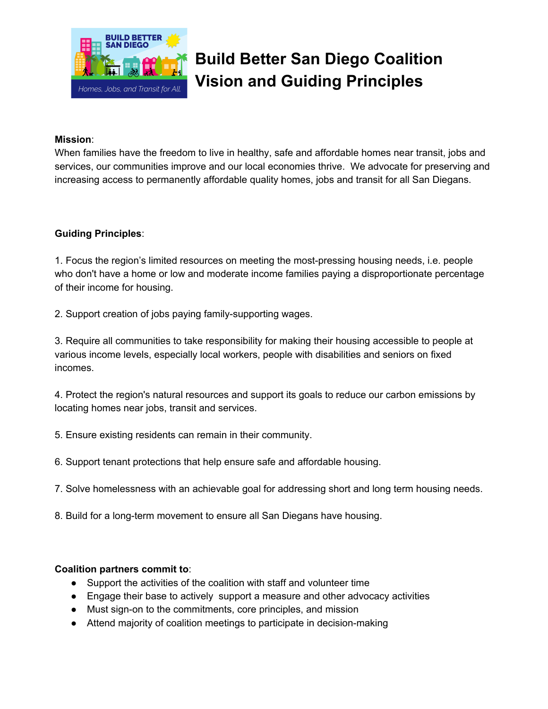

## **Build Better San Diego Coalition Vision and Guiding Principles**

## **Mission**:

When families have the freedom to live in healthy, safe and affordable homes near transit, jobs and services, our communities improve and our local economies thrive. We advocate for preserving and increasing access to permanently affordable quality homes, jobs and transit for all San Diegans.

## **Guiding Principles**:

1. Focus the region's limited resources on meeting the most-pressing housing needs, i.e. people who don't have a home or low and moderate income families paying a disproportionate percentage of their income for housing.

2. Support creation of jobs paying family-supporting wages.

3. Require all communities to take responsibility for making their housing accessible to people at various income levels, especially local workers, people with disabilities and seniors on fixed incomes.

4. Protect the region's natural resources and support its goals to reduce our carbon emissions by locating homes near jobs, transit and services.

- 5. Ensure existing residents can remain in their community.
- 6. Support tenant protections that help ensure safe and affordable housing.
- 7. Solve homelessness with an achievable goal for addressing short and long term housing needs.
- 8. Build for a long-term movement to ensure all San Diegans have housing.

## **Coalition partners commit to**:

- Support the activities of the coalition with staff and volunteer time
- Engage their base to actively support a measure and other advocacy activities
- Must sign-on to the commitments, core principles, and mission
- Attend majority of coalition meetings to participate in decision-making